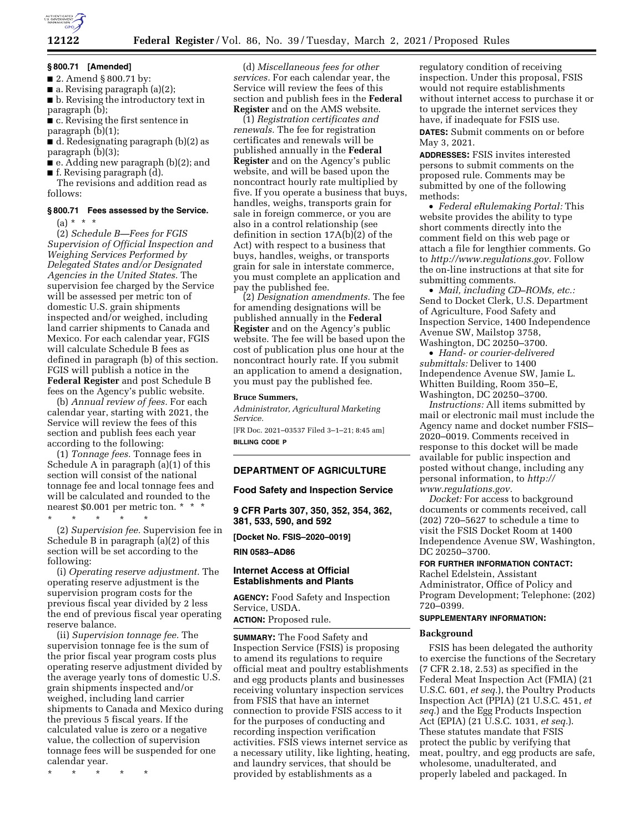

## **§ 800.71 [Amended]**

■ 2. Amend § 800.71 by:

■ a. Revising paragraph (a)(2);

■ b. Revising the introductory text in paragraph (b);

■ c. Revising the first sentence in paragraph (b)(1);

■ d. Redesignating paragraph (b)(2) as paragraph (b)(3);

■ e. Adding new paragraph (b)(2); and ■ f. Revising paragraph (d).

The revisions and addition read as follows:

## **§ 800.71 Fees assessed by the Service.**

 $(a) * * * *$ 

(2) *Schedule B—Fees for FGIS Supervision of Official Inspection and Weighing Services Performed by Delegated States and/or Designated Agencies in the United States.* The supervision fee charged by the Service will be assessed per metric ton of domestic U.S. grain shipments inspected and/or weighed, including land carrier shipments to Canada and Mexico. For each calendar year, FGIS will calculate Schedule B fees as defined in paragraph (b) of this section. FGIS will publish a notice in the **Federal Register** and post Schedule B fees on the Agency's public website.

(b) *Annual review of fees.* For each calendar year, starting with 2021, the Service will review the fees of this section and publish fees each year according to the following:

(1) *Tonnage fees.* Tonnage fees in Schedule A in paragraph (a)(1) of this section will consist of the national tonnage fee and local tonnage fees and will be calculated and rounded to the nearest \$0.001 per metric ton. \* \* \*

\* \* \* \* \*

(2) *Supervision fee.* Supervision fee in Schedule B in paragraph (a)(2) of this section will be set according to the following:

(i) *Operating reserve adjustment.* The operating reserve adjustment is the supervision program costs for the previous fiscal year divided by 2 less the end of previous fiscal year operating reserve balance.

(ii) *Supervision tonnage fee.* The supervision tonnage fee is the sum of the prior fiscal year program costs plus operating reserve adjustment divided by the average yearly tons of domestic U.S. grain shipments inspected and/or weighed, including land carrier shipments to Canada and Mexico during the previous 5 fiscal years. If the calculated value is zero or a negative value, the collection of supervision tonnage fees will be suspended for one calendar year.

\* \* \* \* \*

(d) *Miscellaneous fees for other services.* For each calendar year, the Service will review the fees of this section and publish fees in the **Federal Register** and on the AMS website.

(1) *Registration certificates and renewals.* The fee for registration certificates and renewals will be published annually in the **Federal Register** and on the Agency's public website, and will be based upon the noncontract hourly rate multiplied by five. If you operate a business that buys, handles, weighs, transports grain for sale in foreign commerce, or you are also in a control relationship (see definition in section 17A(b)(2) of the Act) with respect to a business that buys, handles, weighs, or transports grain for sale in interstate commerce, you must complete an application and pay the published fee.

(2) *Designation amendments.* The fee for amending designations will be published annually in the **Federal Register** and on the Agency's public website. The fee will be based upon the cost of publication plus one hour at the noncontract hourly rate. If you submit an application to amend a designation, you must pay the published fee.

## **Bruce Summers,**

*Administrator, Agricultural Marketing Service.* 

[FR Doc. 2021–03537 Filed 3–1–21; 8:45 am] **BILLING CODE P** 

## **DEPARTMENT OF AGRICULTURE**

## **Food Safety and Inspection Service**

**9 CFR Parts 307, 350, 352, 354, 362, 381, 533, 590, and 592** 

**[Docket No. FSIS–2020–0019]** 

**RIN 0583–AD86** 

## **Internet Access at Official Establishments and Plants**

**AGENCY:** Food Safety and Inspection Service, USDA.

**ACTION:** Proposed rule.

**SUMMARY:** The Food Safety and Inspection Service (FSIS) is proposing to amend its regulations to require official meat and poultry establishments and egg products plants and businesses receiving voluntary inspection services from FSIS that have an internet connection to provide FSIS access to it for the purposes of conducting and recording inspection verification activities. FSIS views internet service as a necessary utility, like lighting, heating, and laundry services, that should be provided by establishments as a

regulatory condition of receiving inspection. Under this proposal, FSIS would not require establishments without internet access to purchase it or to upgrade the internet services they have, if inadequate for FSIS use. **DATES:** Submit comments on or before

May 3, 2021.

**ADDRESSES:** FSIS invites interested persons to submit comments on the proposed rule. Comments may be submitted by one of the following methods:

• *Federal eRulemaking Portal:* This website provides the ability to type short comments directly into the comment field on this web page or attach a file for lengthier comments. Go to *[http://www.regulations.gov.](http://www.regulations.gov)* Follow the on-line instructions at that site for submitting comments.

• *Mail, including CD–ROMs, etc.:*  Send to Docket Clerk, U.S. Department of Agriculture, Food Safety and Inspection Service, 1400 Independence Avenue SW, Mailstop 3758, Washington, DC 20250–3700.

• *Hand- or courier-delivered submittals:* Deliver to 1400 Independence Avenue SW, Jamie L. Whitten Building, Room 350–E, Washington, DC 20250–3700.

*Instructions:* All items submitted by mail or electronic mail must include the Agency name and docket number FSIS– 2020–0019. Comments received in response to this docket will be made available for public inspection and posted without change, including any personal information, to *[http://](http://www.regulations.gov) [www.regulations.gov.](http://www.regulations.gov)* 

*Docket:* For access to background documents or comments received, call (202) 720–5627 to schedule a time to visit the FSIS Docket Room at 1400 Independence Avenue SW, Washington, DC 20250–3700.

#### **FOR FURTHER INFORMATION CONTACT:**

Rachel Edelstein, Assistant Administrator, Office of Policy and Program Development; Telephone: (202) 720–0399.

## **SUPPLEMENTARY INFORMATION:**

## **Background**

FSIS has been delegated the authority to exercise the functions of the Secretary (7 CFR 2.18, 2.53) as specified in the Federal Meat Inspection Act (FMIA) (21 U.S.C. 601, *et seq.*), the Poultry Products Inspection Act (PPIA) (21 U.S.C. 451, *et seq.*) and the Egg Products Inspection Act (EPIA) (21 U.S.C. 1031, *et seq.*). These statutes mandate that FSIS protect the public by verifying that meat, poultry, and egg products are safe, wholesome, unadulterated, and properly labeled and packaged. In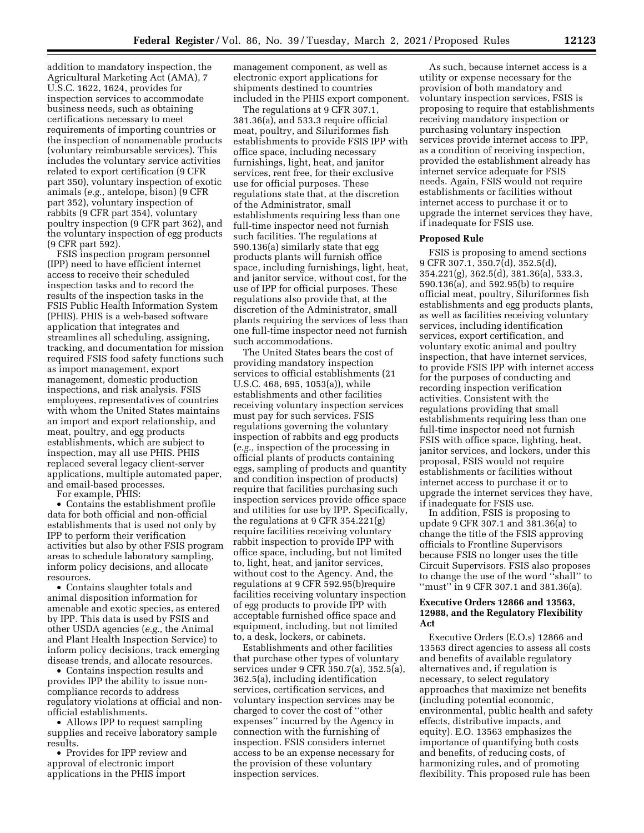addition to mandatory inspection, the Agricultural Marketing Act (AMA), 7 U.S.C. 1622, 1624, provides for inspection services to accommodate business needs, such as obtaining certifications necessary to meet requirements of importing countries or the inspection of nonamenable products (voluntary reimbursable services). This includes the voluntary service activities related to export certification (9 CFR part 350), voluntary inspection of exotic animals (*e.g.,* antelope, bison) (9 CFR part 352), voluntary inspection of rabbits (9 CFR part 354), voluntary poultry inspection (9 CFR part 362), and the voluntary inspection of egg products (9 CFR part 592).

FSIS inspection program personnel (IPP) need to have efficient internet access to receive their scheduled inspection tasks and to record the results of the inspection tasks in the FSIS Public Health Information System (PHIS). PHIS is a web-based software application that integrates and streamlines all scheduling, assigning, tracking, and documentation for mission required FSIS food safety functions such as import management, export management, domestic production inspections, and risk analysis. FSIS employees, representatives of countries with whom the United States maintains an import and export relationship, and meat, poultry, and egg products establishments, which are subject to inspection, may all use PHIS. PHIS replaced several legacy client-server applications, multiple automated paper, and email-based processes.

For example, PHIS:

• Contains the establishment profile data for both official and non-official establishments that is used not only by IPP to perform their verification activities but also by other FSIS program areas to schedule laboratory sampling, inform policy decisions, and allocate resources.

• Contains slaughter totals and animal disposition information for amenable and exotic species, as entered by IPP. This data is used by FSIS and other USDA agencies (*e.g.,* the Animal and Plant Health Inspection Service) to inform policy decisions, track emerging disease trends, and allocate resources.

• Contains inspection results and provides IPP the ability to issue noncompliance records to address regulatory violations at official and nonofficial establishments.

• Allows IPP to request sampling supplies and receive laboratory sample results.

• Provides for IPP review and approval of electronic import applications in the PHIS import

management component, as well as electronic export applications for shipments destined to countries included in the PHIS export component.

The regulations at 9 CFR 307.1, 381.36(a), and 533.3 require official meat, poultry, and Siluriformes fish establishments to provide FSIS IPP with office space, including necessary furnishings, light, heat, and janitor services, rent free, for their exclusive use for official purposes. These regulations state that, at the discretion of the Administrator, small establishments requiring less than one full-time inspector need not furnish such facilities. The regulations at 590.136(a) similarly state that egg products plants will furnish office space, including furnishings, light, heat, and janitor service, without cost, for the use of IPP for official purposes. These regulations also provide that, at the discretion of the Administrator, small plants requiring the services of less than one full-time inspector need not furnish such accommodations.

The United States bears the cost of providing mandatory inspection services to official establishments (21 U.S.C. 468, 695, 1053(a)), while establishments and other facilities receiving voluntary inspection services must pay for such services. FSIS regulations governing the voluntary inspection of rabbits and egg products (*e.g.,* inspection of the processing in official plants of products containing eggs, sampling of products and quantity and condition inspection of products) require that facilities purchasing such inspection services provide office space and utilities for use by IPP. Specifically, the regulations at 9 CFR 354.221(g) require facilities receiving voluntary rabbit inspection to provide IPP with office space, including, but not limited to, light, heat, and janitor services, without cost to the Agency. And, the regulations at 9 CFR 592.95(b)require facilities receiving voluntary inspection of egg products to provide IPP with acceptable furnished office space and equipment, including, but not limited to, a desk, lockers, or cabinets.

Establishments and other facilities that purchase other types of voluntary services under 9 CFR 350.7(a), 352.5(a), 362.5(a), including identification services, certification services, and voluntary inspection services may be charged to cover the cost of ''other expenses'' incurred by the Agency in connection with the furnishing of inspection. FSIS considers internet access to be an expense necessary for the provision of these voluntary inspection services.

As such, because internet access is a utility or expense necessary for the provision of both mandatory and voluntary inspection services, FSIS is proposing to require that establishments receiving mandatory inspection or purchasing voluntary inspection services provide internet access to IPP, as a condition of receiving inspection, provided the establishment already has internet service adequate for FSIS needs. Again, FSIS would not require establishments or facilities without internet access to purchase it or to upgrade the internet services they have, if inadequate for FSIS use.

#### **Proposed Rule**

FSIS is proposing to amend sections 9 CFR 307.1, 350.7(d), 352.5(d), 354.221(g), 362.5(d), 381.36(a), 533.3, 590.136(a), and 592.95(b) to require official meat, poultry, Siluriformes fish establishments and egg products plants, as well as facilities receiving voluntary services, including identification services, export certification, and voluntary exotic animal and poultry inspection, that have internet services, to provide FSIS IPP with internet access for the purposes of conducting and recording inspection verification activities. Consistent with the regulations providing that small establishments requiring less than one full-time inspector need not furnish FSIS with office space, lighting, heat, janitor services, and lockers, under this proposal, FSIS would not require establishments or facilities without internet access to purchase it or to upgrade the internet services they have, if inadequate for FSIS use.

In addition, FSIS is proposing to update 9 CFR 307.1 and 381.36(a) to change the title of the FSIS approving officials to Frontline Supervisors because FSIS no longer uses the title Circuit Supervisors. FSIS also proposes to change the use of the word ''shall'' to "must" in 9 CFR 307.1 and 381.36(a).

## **Executive Orders 12866 and 13563, 12988, and the Regulatory Flexibility Act**

Executive Orders (E.O.s) 12866 and 13563 direct agencies to assess all costs and benefits of available regulatory alternatives and, if regulation is necessary, to select regulatory approaches that maximize net benefits (including potential economic, environmental, public health and safety effects, distributive impacts, and equity). E.O. 13563 emphasizes the importance of quantifying both costs and benefits, of reducing costs, of harmonizing rules, and of promoting flexibility. This proposed rule has been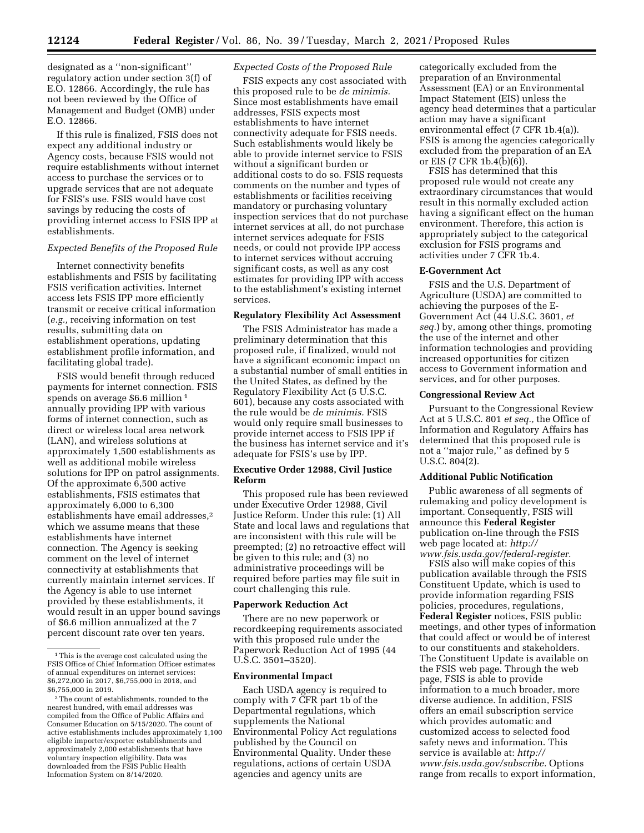designated as a ''non-significant'' regulatory action under section 3(f) of E.O. 12866. Accordingly, the rule has not been reviewed by the Office of Management and Budget (OMB) under E.O. 12866.

If this rule is finalized, FSIS does not expect any additional industry or Agency costs, because FSIS would not require establishments without internet access to purchase the services or to upgrade services that are not adequate for FSIS's use. FSIS would have cost savings by reducing the costs of providing internet access to FSIS IPP at establishments.

## *Expected Benefits of the Proposed Rule*

Internet connectivity benefits establishments and FSIS by facilitating FSIS verification activities. Internet access lets FSIS IPP more efficiently transmit or receive critical information (*e.g.,* receiving information on test results, submitting data on establishment operations, updating establishment profile information, and facilitating global trade).

FSIS would benefit through reduced payments for internet connection. FSIS spends on average \$6.6 million<sup>1</sup> annually providing IPP with various forms of internet connection, such as direct or wireless local area network (LAN), and wireless solutions at approximately 1,500 establishments as well as additional mobile wireless solutions for IPP on patrol assignments. Of the approximate 6,500 active establishments, FSIS estimates that approximately 6,000 to 6,300 establishments have email addresses,<sup>2</sup> which we assume means that these establishments have internet connection. The Agency is seeking comment on the level of internet connectivity at establishments that currently maintain internet services. If the Agency is able to use internet provided by these establishments, it would result in an upper bound savings of \$6.6 million annualized at the 7 percent discount rate over ten years.

#### *Expected Costs of the Proposed Rule*

FSIS expects any cost associated with this proposed rule to be *de minimis.*  Since most establishments have email addresses, FSIS expects most establishments to have internet connectivity adequate for FSIS needs. Such establishments would likely be able to provide internet service to FSIS without a significant burden or additional costs to do so. FSIS requests comments on the number and types of establishments or facilities receiving mandatory or purchasing voluntary inspection services that do not purchase internet services at all, do not purchase internet services adequate for FSIS needs, or could not provide IPP access to internet services without accruing significant costs, as well as any cost estimates for providing IPP with access to the establishment's existing internet services.

#### **Regulatory Flexibility Act Assessment**

The FSIS Administrator has made a preliminary determination that this proposed rule, if finalized, would not have a significant economic impact on a substantial number of small entities in the United States, as defined by the Regulatory Flexibility Act (5 U.S.C. 601), because any costs associated with the rule would be *de minimis.* FSIS would only require small businesses to provide internet access to FSIS IPP if the business has internet service and it's adequate for FSIS's use by IPP.

## **Executive Order 12988, Civil Justice Reform**

This proposed rule has been reviewed under Executive Order 12988, Civil Justice Reform. Under this rule: (1) All State and local laws and regulations that are inconsistent with this rule will be preempted; (2) no retroactive effect will be given to this rule; and (3) no administrative proceedings will be required before parties may file suit in court challenging this rule.

#### **Paperwork Reduction Act**

There are no new paperwork or recordkeeping requirements associated with this proposed rule under the Paperwork Reduction Act of 1995 (44 U.S.C. 3501–3520).

## **Environmental Impact**

Each USDA agency is required to comply with 7 CFR part 1b of the Departmental regulations, which supplements the National Environmental Policy Act regulations published by the Council on Environmental Quality. Under these regulations, actions of certain USDA agencies and agency units are

categorically excluded from the preparation of an Environmental Assessment (EA) or an Environmental Impact Statement (EIS) unless the agency head determines that a particular action may have a significant environmental effect (7 CFR 1b.4(a)). FSIS is among the agencies categorically excluded from the preparation of an EA or EIS (7 CFR 1b.4 $(b)(6)$ ).

FSIS has determined that this proposed rule would not create any extraordinary circumstances that would result in this normally excluded action having a significant effect on the human environment. Therefore, this action is appropriately subject to the categorical exclusion for FSIS programs and activities under 7 CFR 1b.4.

#### **E-Government Act**

FSIS and the U.S. Department of Agriculture (USDA) are committed to achieving the purposes of the E-Government Act (44 U.S.C. 3601, *et seq.*) by, among other things, promoting the use of the internet and other information technologies and providing increased opportunities for citizen access to Government information and services, and for other purposes.

#### **Congressional Review Act**

Pursuant to the Congressional Review Act at 5 U.S.C. 801 *et seq.,* the Office of Information and Regulatory Affairs has determined that this proposed rule is not a ''major rule,'' as defined by 5 U.S.C. 804(2).

#### **Additional Public Notification**

Public awareness of all segments of rulemaking and policy development is important. Consequently, FSIS will announce this **Federal Register**  publication on-line through the FSIS web page located at: *[http://](http://www.fsis.usda.gov/federal-register) [www.fsis.usda.gov/federal-register.](http://www.fsis.usda.gov/federal-register)* 

FSIS also will make copies of this publication available through the FSIS Constituent Update, which is used to provide information regarding FSIS policies, procedures, regulations, **Federal Register** notices, FSIS public meetings, and other types of information that could affect or would be of interest to our constituents and stakeholders. The Constituent Update is available on the FSIS web page. Through the web page, FSIS is able to provide information to a much broader, more diverse audience. In addition, FSIS offers an email subscription service which provides automatic and customized access to selected food safety news and information. This service is available at: *[http://](http://www.fsis.usda.gov/subscribe) [www.fsis.usda.gov/subscribe.](http://www.fsis.usda.gov/subscribe)* Options range from recalls to export information,

<sup>1</sup>This is the average cost calculated using the FSIS Office of Chief Information Officer estimates of annual expenditures on internet services: \$6,272,000 in 2017, \$6,755,000 in 2018, and \$6,755,000 in 2019.

<sup>2</sup>The count of establishments, rounded to the nearest hundred, with email addresses was compiled from the Office of Public Affairs and Consumer Education on 5/15/2020. The count of active establishments includes approximately 1,100 eligible importer/exporter establishments and approximately 2,000 establishments that have voluntary inspection eligibility. Data was downloaded from the FSIS Public Health Information System on 8/14/2020.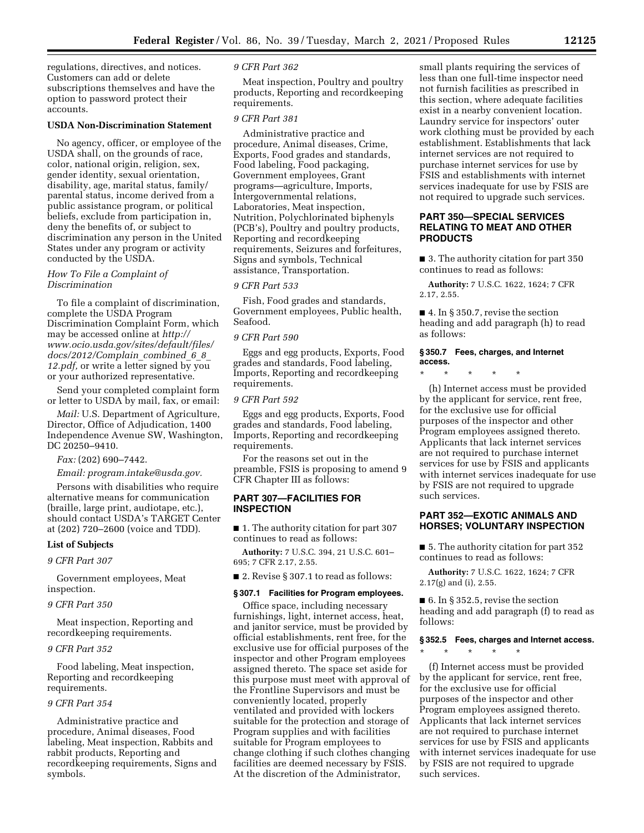regulations, directives, and notices. Customers can add or delete subscriptions themselves and have the option to password protect their accounts.

#### **USDA Non-Discrimination Statement**

No agency, officer, or employee of the USDA shall, on the grounds of race, color, national origin, religion, sex, gender identity, sexual orientation, disability, age, marital status, family/ parental status, income derived from a public assistance program, or political beliefs, exclude from participation in, deny the benefits of, or subject to discrimination any person in the United States under any program or activity conducted by the USDA.

## *How To File a Complaint of Discrimination*

To file a complaint of discrimination, complete the USDA Program Discrimination Complaint Form, which may be accessed online at *[http://](http://www.ocio.usda.gov/sites/default/files/docs/2012/Complain_combined_6_8_12.pdf) [www.ocio.usda.gov/sites/default/files/](http://www.ocio.usda.gov/sites/default/files/docs/2012/Complain_combined_6_8_12.pdf) [docs/2012/Complain](http://www.ocio.usda.gov/sites/default/files/docs/2012/Complain_combined_6_8_12.pdf)*\_*combined*\_*6*\_*8*\_ *[12.pdf,](http://www.ocio.usda.gov/sites/default/files/docs/2012/Complain_combined_6_8_12.pdf)* or write a letter signed by you or your authorized representative.

Send your completed complaint form or letter to USDA by mail, fax, or email:

*Mail:* U.S. Department of Agriculture, Director, Office of Adjudication, 1400 Independence Avenue SW, Washington, DC 20250–9410.

*Fax:* (202) 690–7442.

*Email: [program.intake@usda.gov.](mailto:program.intake@usda.gov)* 

Persons with disabilities who require alternative means for communication (braille, large print, audiotape, etc.), should contact USDA's TARGET Center at (202) 720–2600 (voice and TDD).

#### **List of Subjects**

*9 CFR Part 307* 

Government employees, Meat inspection.

#### *9 CFR Part 350*

Meat inspection, Reporting and recordkeeping requirements.

#### *9 CFR Part 352*

Food labeling, Meat inspection, Reporting and recordkeeping requirements.

#### *9 CFR Part 354*

Administrative practice and procedure, Animal diseases, Food labeling, Meat inspection, Rabbits and rabbit products, Reporting and recordkeeping requirements, Signs and symbols.

### *9 CFR Part 362*

Meat inspection, Poultry and poultry products, Reporting and recordkeeping requirements.

## *9 CFR Part 381*

Administrative practice and procedure, Animal diseases, Crime, Exports, Food grades and standards, Food labeling, Food packaging, Government employees, Grant programs—agriculture, Imports, Intergovernmental relations, Laboratories, Meat inspection, Nutrition, Polychlorinated biphenyls (PCB's), Poultry and poultry products, Reporting and recordkeeping requirements, Seizures and forfeitures, Signs and symbols, Technical assistance, Transportation.

#### *9 CFR Part 533*

Fish, Food grades and standards, Government employees, Public health, Seafood.

#### *9 CFR Part 590*

Eggs and egg products, Exports, Food grades and standards, Food labeling, Imports, Reporting and recordkeeping requirements.

#### *9 CFR Part 592*

Eggs and egg products, Exports, Food grades and standards, Food labeling, Imports, Reporting and recordkeeping requirements.

For the reasons set out in the preamble, FSIS is proposing to amend 9 CFR Chapter III as follows:

## **PART 307—FACILITIES FOR INSPECTION**

■ 1. The authority citation for part 307 continues to read as follows:

**Authority:** 7 U.S.C. 394, 21 U.S.C. 601– 695; 7 CFR 2.17, 2.55.

■ 2. Revise § 307.1 to read as follows:

#### **§ 307.1 Facilities for Program employees.**

Office space, including necessary furnishings, light, internet access, heat, and janitor service, must be provided by official establishments, rent free, for the exclusive use for official purposes of the inspector and other Program employees assigned thereto. The space set aside for this purpose must meet with approval of the Frontline Supervisors and must be conveniently located, properly ventilated and provided with lockers suitable for the protection and storage of Program supplies and with facilities suitable for Program employees to change clothing if such clothes changing facilities are deemed necessary by FSIS. At the discretion of the Administrator,

small plants requiring the services of less than one full-time inspector need not furnish facilities as prescribed in this section, where adequate facilities exist in a nearby convenient location. Laundry service for inspectors' outer work clothing must be provided by each establishment. Establishments that lack internet services are not required to purchase internet services for use by FSIS and establishments with internet services inadequate for use by FSIS are not required to upgrade such services.

## **PART 350—SPECIAL SERVICES RELATING TO MEAT AND OTHER PRODUCTS**

■ 3. The authority citation for part 350 continues to read as follows:

**Authority:** 7 U.S.C. 1622, 1624; 7 CFR 2.17, 2.55.

■ 4. In § 350.7, revise the section heading and add paragraph (h) to read as follows:

#### **§ 350.7 Fees, charges, and Internet access.**

\* \* \* \* \*

(h) Internet access must be provided by the applicant for service, rent free, for the exclusive use for official purposes of the inspector and other Program employees assigned thereto. Applicants that lack internet services are not required to purchase internet services for use by FSIS and applicants with internet services inadequate for use by FSIS are not required to upgrade such services.

## **PART 352—EXOTIC ANIMALS AND HORSES; VOLUNTARY INSPECTION**

■ 5. The authority citation for part 352 continues to read as follows:

**Authority:** 7 U.S.C. 1622, 1624; 7 CFR 2.17(g) and (i), 2.55.

■ 6. In § 352.5, revise the section heading and add paragraph (f) to read as follows:

## **§ 352.5 Fees, charges and Internet access.**

\* \* \* \* \*

(f) Internet access must be provided by the applicant for service, rent free, for the exclusive use for official purposes of the inspector and other Program employees assigned thereto. Applicants that lack internet services are not required to purchase internet services for use by FSIS and applicants with internet services inadequate for use by FSIS are not required to upgrade such services.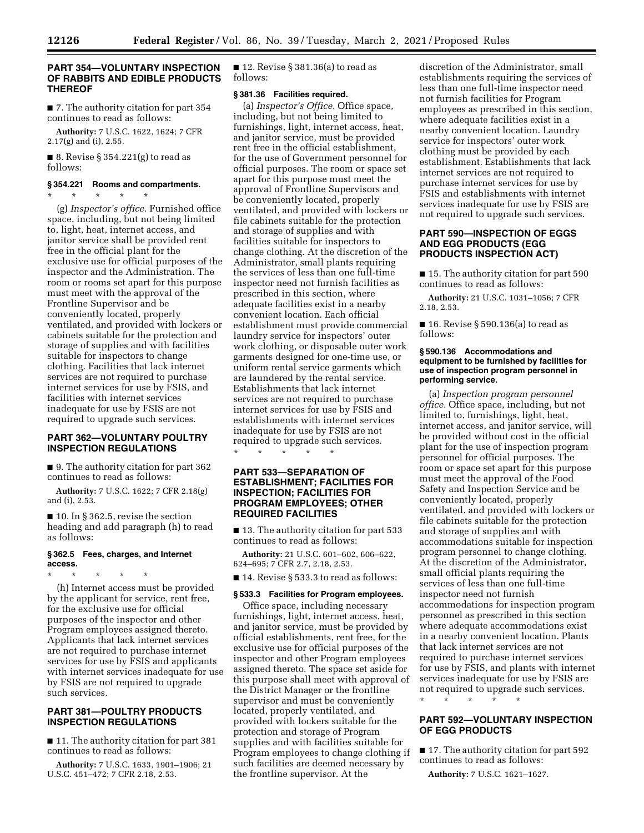## **PART 354—VOLUNTARY INSPECTION OF RABBITS AND EDIBLE PRODUCTS THEREOF**

■ 7. The authority citation for part 354 continues to read as follows:

**Authority:** 7 U.S.C. 1622, 1624; 7 CFR 2.17(g) and (i), 2.55.

■ 8. Revise § 354.221 $(g)$  to read as follows:

## **§ 354.221 Rooms and compartments.**

\* \* \* \* \* (g) *Inspector's office.* Furnished office space, including, but not being limited to, light, heat, internet access, and janitor service shall be provided rent free in the official plant for the exclusive use for official purposes of the inspector and the Administration. The room or rooms set apart for this purpose must meet with the approval of the Frontline Supervisor and be conveniently located, properly ventilated, and provided with lockers or cabinets suitable for the protection and storage of supplies and with facilities suitable for inspectors to change clothing. Facilities that lack internet services are not required to purchase internet services for use by FSIS, and facilities with internet services inadequate for use by FSIS are not required to upgrade such services.

## **PART 362—VOLUNTARY POULTRY INSPECTION REGULATIONS**

■ 9. The authority citation for part 362 continues to read as follows:

**Authority:** 7 U.S.C. 1622; 7 CFR 2.18(g) and (i), 2.53.

 $\blacksquare$  10. In § 362.5, revise the section heading and add paragraph (h) to read as follows:

## **§ 362.5 Fees, charges, and Internet access.**

\* \* \* \* \*

(h) Internet access must be provided by the applicant for service, rent free, for the exclusive use for official purposes of the inspector and other Program employees assigned thereto. Applicants that lack internet services are not required to purchase internet services for use by FSIS and applicants with internet services inadequate for use by FSIS are not required to upgrade such services.

## **PART 381—POULTRY PRODUCTS INSPECTION REGULATIONS**

■ 11. The authority citation for part 381 continues to read as follows:

**Authority:** 7 U.S.C. 1633, 1901–1906; 21 U.S.C. 451–472; 7 CFR 2.18, 2.53.

 $\blacksquare$  12. Revise § 381.36(a) to read as follows:

## **§ 381.36 Facilities required.**

(a) *Inspector's Office.* Office space, including, but not being limited to furnishings, light, internet access, heat, and janitor service, must be provided rent free in the official establishment, for the use of Government personnel for official purposes. The room or space set apart for this purpose must meet the approval of Frontline Supervisors and be conveniently located, properly ventilated, and provided with lockers or file cabinets suitable for the protection and storage of supplies and with facilities suitable for inspectors to change clothing. At the discretion of the Administrator, small plants requiring the services of less than one full-time inspector need not furnish facilities as prescribed in this section, where adequate facilities exist in a nearby convenient location. Each official establishment must provide commercial laundry service for inspectors' outer work clothing, or disposable outer work garments designed for one-time use, or uniform rental service garments which are laundered by the rental service. Establishments that lack internet services are not required to purchase internet services for use by FSIS and establishments with internet services inadequate for use by FSIS are not required to upgrade such services. \* \* \* \* \*

## **PART 533—SEPARATION OF ESTABLISHMENT; FACILITIES FOR INSPECTION; FACILITIES FOR PROGRAM EMPLOYEES; OTHER REQUIRED FACILITIES**

■ 13. The authority citation for part 533 continues to read as follows:

**Authority:** 21 U.S.C. 601–602, 606–622, 624–695; 7 CFR 2.7, 2.18, 2.53.

■ 14. Revise § 533.3 to read as follows:

## **§ 533.3 Facilities for Program employees.**

Office space, including necessary furnishings, light, internet access, heat, and janitor service, must be provided by official establishments, rent free, for the exclusive use for official purposes of the inspector and other Program employees assigned thereto. The space set aside for this purpose shall meet with approval of the District Manager or the frontline supervisor and must be conveniently located, properly ventilated, and provided with lockers suitable for the protection and storage of Program supplies and with facilities suitable for Program employees to change clothing if such facilities are deemed necessary by the frontline supervisor. At the

discretion of the Administrator, small establishments requiring the services of less than one full-time inspector need not furnish facilities for Program employees as prescribed in this section, where adequate facilities exist in a nearby convenient location. Laundry service for inspectors' outer work clothing must be provided by each establishment. Establishments that lack internet services are not required to purchase internet services for use by FSIS and establishments with internet services inadequate for use by FSIS are not required to upgrade such services.

## **PART 590—INSPECTION OF EGGS AND EGG PRODUCTS (EGG PRODUCTS INSPECTION ACT)**

■ 15. The authority citation for part 590 continues to read as follows:

**Authority:** 21 U.S.C. 1031–1056; 7 CFR 2.18, 2.53.

■ 16. Revise § 590.136(a) to read as follows:

## **§ 590.136 Accommodations and equipment to be furnished by facilities for use of inspection program personnel in performing service.**

(a) *Inspection program personnel office.* Office space, including, but not limited to, furnishings, light, heat, internet access, and janitor service, will be provided without cost in the official plant for the use of inspection program personnel for official purposes. The room or space set apart for this purpose must meet the approval of the Food Safety and Inspection Service and be conveniently located, properly ventilated, and provided with lockers or file cabinets suitable for the protection and storage of supplies and with accommodations suitable for inspection program personnel to change clothing. At the discretion of the Administrator, small official plants requiring the services of less than one full-time inspector need not furnish accommodations for inspection program personnel as prescribed in this section where adequate accommodations exist in a nearby convenient location. Plants that lack internet services are not required to purchase internet services for use by FSIS, and plants with internet services inadequate for use by FSIS are not required to upgrade such services.

\* \* \* \* \*

## **PART 592—VOLUNTARY INSPECTION OF EGG PRODUCTS**

■ 17. The authority citation for part 592 continues to read as follows:

**Authority:** 7 U.S.C. 1621–1627.